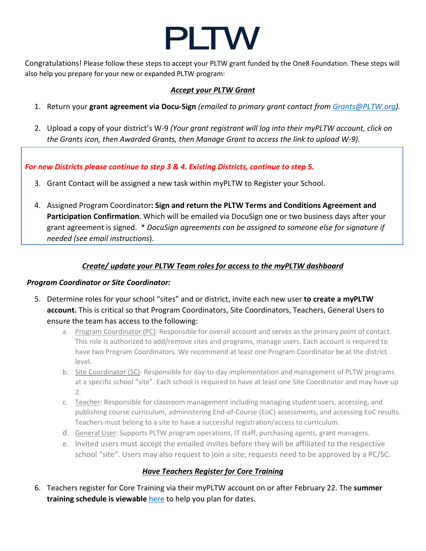# **PLTW**

Congratulations! Please follow these steps to accept your PLTW grant funded by the One8 Foundation. These steps will also help you prepare for your new or expanded PLTW program:

#### *Accept your PLTW Grant*

- 1. Return your **grant agreement via Docu-Sign** *(emailed to primary grant contact from [Grants@PLTW.org\)](mailto:Grants@PLTW.org).*
- 2. Upload a copy of your district's W-9 *(Your grant registrant will log into their myPLTW account, click on the Grants icon, then Awarded Grants, then Manage Grant to access the link to upload W-9).*

*For new Districts please continue to step 3 & 4. Existing Districts, continue to step 5.*

- 3. Grant Contact will be assigned a new task within myPLTW to Register your School.
- 4. Assigned Program Coordinator**: Sign and return the PLTW Terms and Conditions Agreement and Participation Confirmation**. Which will be emailed via DocuSign one or two business days after your grant agreement is signed. \* *DocuSign agreements can be assigned to someone else for signature if needed (see email instructions*).

## *Create/ update your PLTW Team roles for access to the myPLTW dashboard*

#### *Program Coordinator or Site Coordinator:*

- 5. Determine roles for your school "sites" and or district, invite each new user **to create a myPLTW account.** This is critical so that Program Coordinators, Site Coordinators, Teachers, General Users to ensure the team has access to the following:
	- a. Program Coordinator (PC): Responsible for overall account and serves as the primary point of contact. This role is authorized to add/remove sites and programs, manage users. Each account is required to have two Program Coordinators. We recommend at least one Program Coordinator be at the district level.
	- b. Site Coordinator (SC): Responsible for day-to-day implementation and management of PLTW programs at a specific school "site". Each school is required to have at least one Site Coordinator and may have up 2.
	- c. Teacher: Responsible for classroom management including managing student users, accessing, and publishing course curriculum, administering End-of-Course (EoC) assessments, and accessing EoC results. Teachers must belong to a site to have a successful registration/access to curriculum.
	- d. General User: Supports PLTW program operations, IT staff, purchasing agents, grant managers.
	- e. Invited users must accept the emailed invites before they will be affiliated to the respective school "site". Users may also request to join a site; requests need to be approved by a PC/SC.

### *Have Teachers Register for Core Training*

6. Teachers register for Core Training via their myPLTW account on or after February 22. The **summer training schedule is viewable** [here](https://www.pltw.org/our-programs/professional-development/core-training) to help you plan for dates.